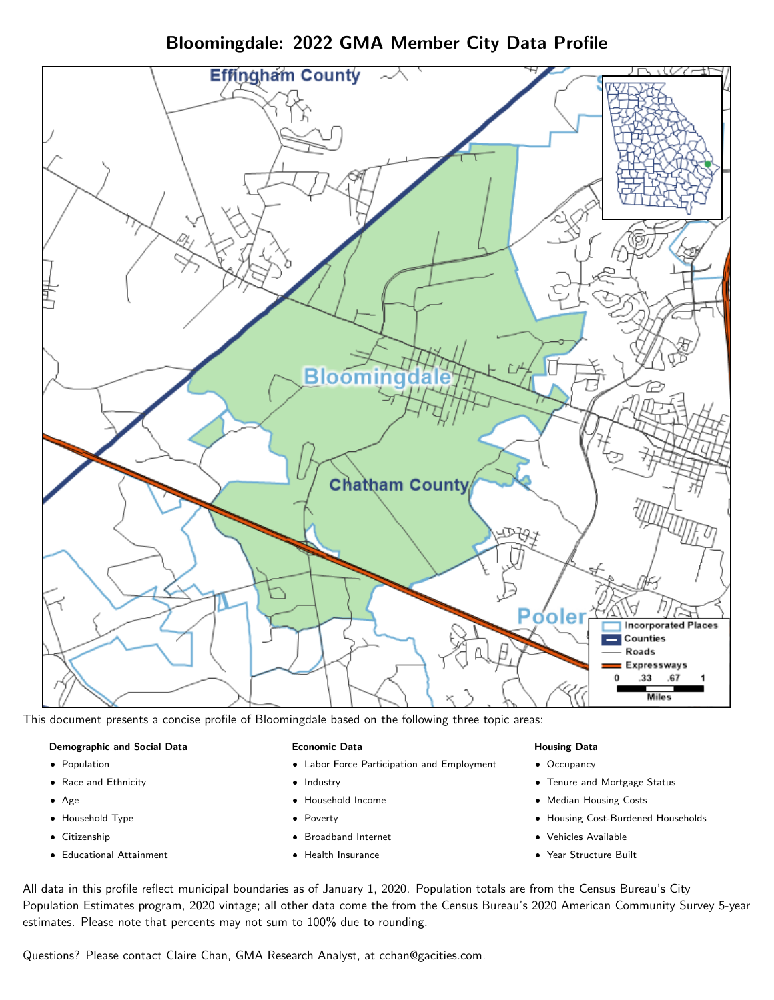# Bloomingdale: 2022 GMA Member City Data Profile



This document presents a concise profile of Bloomingdale based on the following three topic areas:

# Demographic and Social Data

- **•** Population
- Race and Ethnicity
- Age
- Household Type
- **Citizenship**
- Educational Attainment

## Economic Data

- Labor Force Participation and Employment
- Industry
- Household Income
- Poverty
- Broadband Internet
- Health Insurance

## Housing Data

- Occupancy
- Tenure and Mortgage Status
- Median Housing Costs
- Housing Cost-Burdened Households
- Vehicles Available
- Year Structure Built

All data in this profile reflect municipal boundaries as of January 1, 2020. Population totals are from the Census Bureau's City Population Estimates program, 2020 vintage; all other data come the from the Census Bureau's 2020 American Community Survey 5-year estimates. Please note that percents may not sum to 100% due to rounding.

Questions? Please contact Claire Chan, GMA Research Analyst, at [cchan@gacities.com.](mailto:cchan@gacities.com)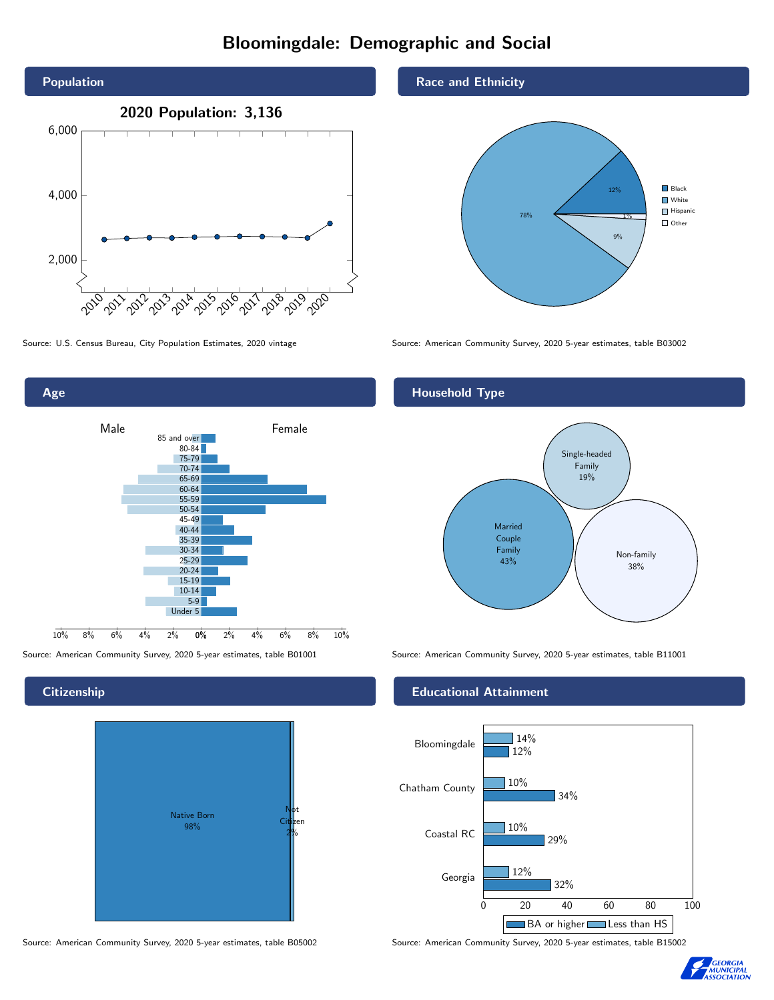# Bloomingdale: Demographic and Social



0% 2% 4% 6% 8% 10% Male **Male** Female 10% 8% 6% 4% 2% 85 and over 80-84 75-79 70-74 65-69 60-64 55-59 50-54 45-49 40-44 35-39 30-34 25-29 20-24 15-19 10-14 5-9 Under 5

## **Citizenship**

Age



Source: American Community Survey, 2020 5-year estimates, table B05002 Source: American Community Survey, 2020 5-year estimates, table B15002

## Race and Ethnicity



Source: U.S. Census Bureau, City Population Estimates, 2020 vintage Source: American Community Survey, 2020 5-year estimates, table B03002

## Household Type



Source: American Community Survey, 2020 5-year estimates, table B01001 Source: American Community Survey, 2020 5-year estimates, table B11001

## Educational Attainment



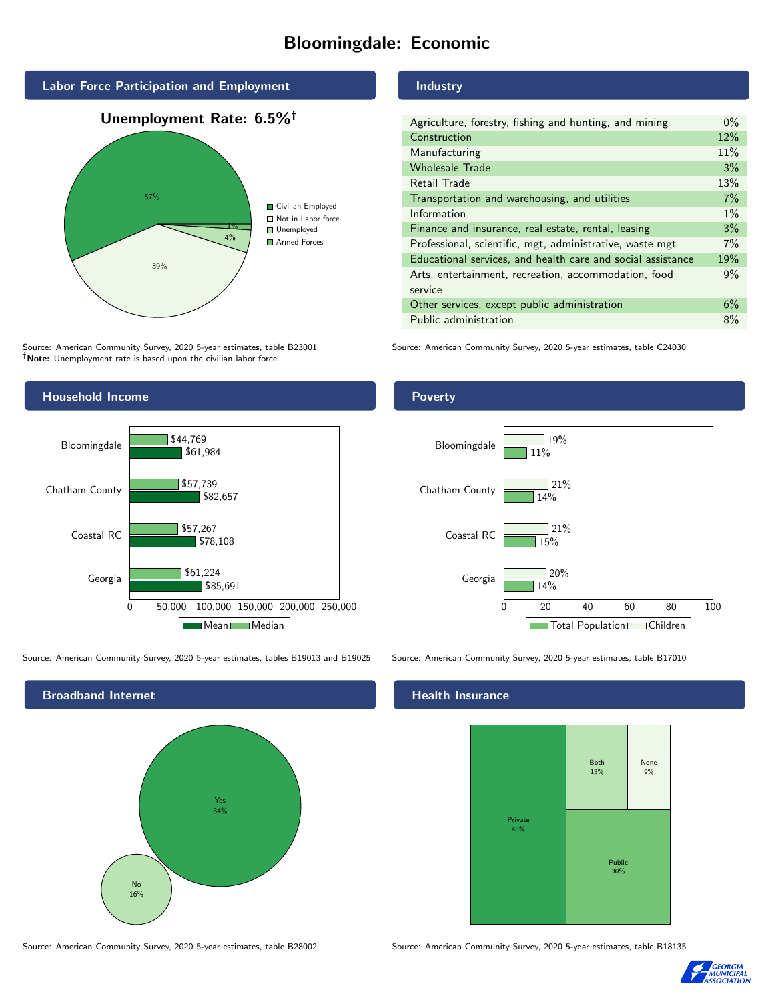# Bloomingdale: Economic



Source: American Community Survey, 2020 5-year estimates, table B23001 Note: Unemployment rate is based upon the civilian labor force.

39%

## Industry

| Agriculture, forestry, fishing and hunting, and mining      | $0\%$ |
|-------------------------------------------------------------|-------|
| Construction                                                | 12%   |
| Manufacturing                                               | 11%   |
| <b>Wholesale Trade</b>                                      | 3%    |
| Retail Trade                                                | 13%   |
| Transportation and warehousing, and utilities               | 7%    |
| Information                                                 | $1\%$ |
| Finance and insurance, real estate, rental, leasing         | 3%    |
| Professional, scientific, mgt, administrative, waste mgt    | $7\%$ |
| Educational services, and health care and social assistance | 19%   |
| Arts, entertainment, recreation, accommodation, food        | 9%    |
| service                                                     |       |
| Other services, except public administration                | 6%    |
| Public administration                                       | 8%    |

Source: American Community Survey, 2020 5-year estimates, table C24030



Source: American Community Survey, 2020 5-year estimates, tables B19013 and B19025 Source: American Community Survey, 2020 5-year estimates, table B17010

Broadband Internet No 16% Yes 84%

#### Health Insurance



Source: American Community Survey, 2020 5-year estimates, table B28002 Source: American Community Survey, 2020 5-year estimates, table B18135